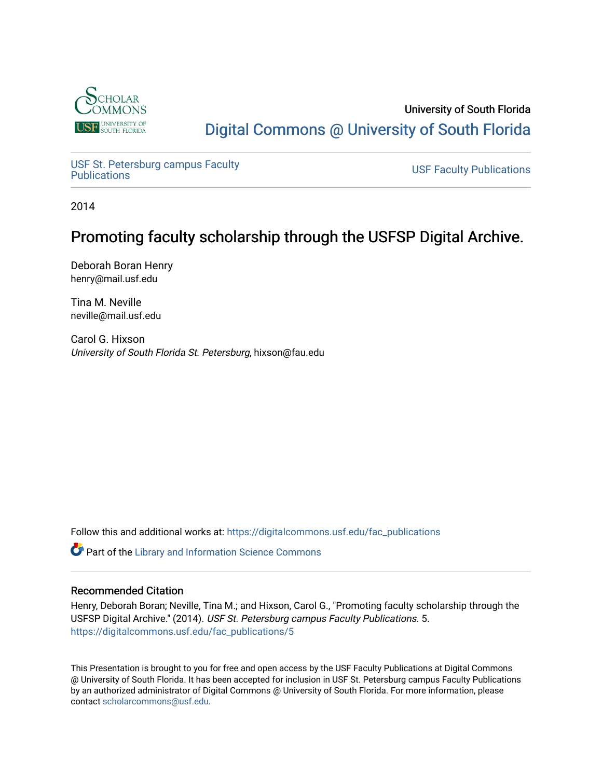

## University of South Florida [Digital Commons @ University of South Florida](https://digitalcommons.usf.edu/)

USF St. Petersburg campus Faculty<br>Publications

**USF Faculty Publications** 

2014

## Promoting faculty scholarship through the USFSP Digital Archive.

Deborah Boran Henry henry@mail.usf.edu

Tina M. Neville neville@mail.usf.edu

Carol G. Hixson University of South Florida St. Petersburg, hixson@fau.edu

Follow this and additional works at: [https://digitalcommons.usf.edu/fac\\_publications](https://digitalcommons.usf.edu/fac_publications?utm_source=digitalcommons.usf.edu%2Ffac_publications%2F5&utm_medium=PDF&utm_campaign=PDFCoverPages)

**Part of the Library and Information Science Commons** 

## Recommended Citation

Henry, Deborah Boran; Neville, Tina M.; and Hixson, Carol G., "Promoting faculty scholarship through the USFSP Digital Archive." (2014). USF St. Petersburg campus Faculty Publications. 5. [https://digitalcommons.usf.edu/fac\\_publications/5](https://digitalcommons.usf.edu/fac_publications/5?utm_source=digitalcommons.usf.edu%2Ffac_publications%2F5&utm_medium=PDF&utm_campaign=PDFCoverPages) 

This Presentation is brought to you for free and open access by the USF Faculty Publications at Digital Commons @ University of South Florida. It has been accepted for inclusion in USF St. Petersburg campus Faculty Publications by an authorized administrator of Digital Commons @ University of South Florida. For more information, please contact [scholarcommons@usf.edu](mailto:scholarcommons@usf.edu).